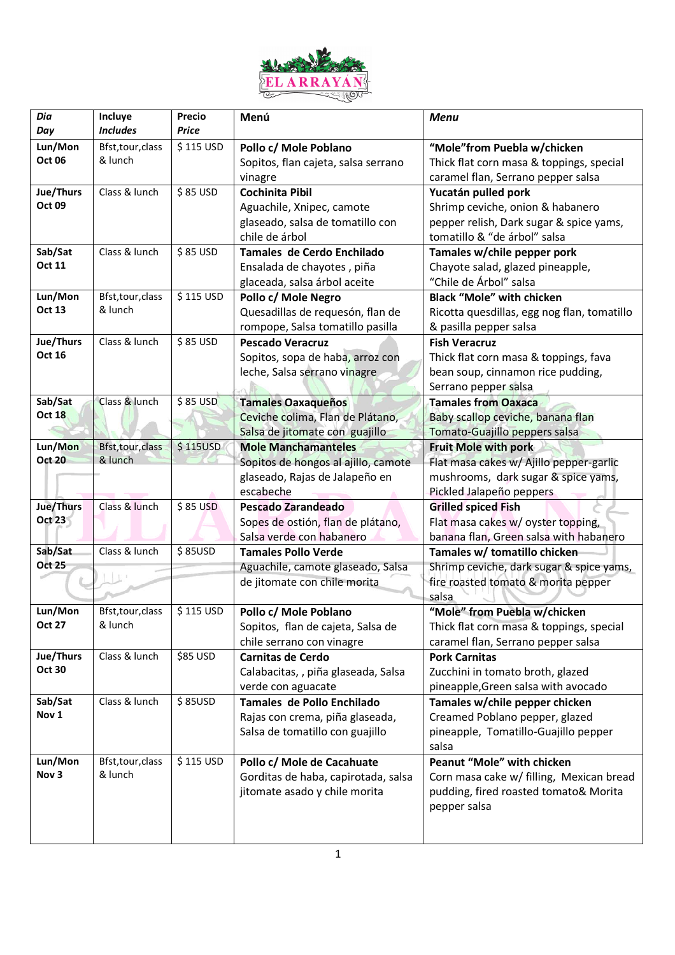

| Dia<br>Day       | Incluye<br><b>Includes</b>   | Precio<br>Price | Menú                                | <b>Menu</b>                                 |
|------------------|------------------------------|-----------------|-------------------------------------|---------------------------------------------|
| Lun/Mon          | Bfst, tour, class            | \$115 USD       | Pollo c/ Mole Poblano               | "Mole"from Puebla w/chicken                 |
| <b>Oct 06</b>    | & lunch                      |                 | Sopitos, flan cajeta, salsa serrano | Thick flat corn masa & toppings, special    |
|                  |                              |                 | vinagre                             | caramel flan, Serrano pepper salsa          |
| Jue/Thurs        | Class & lunch                | \$85 USD        | <b>Cochinita Pibil</b>              | Yucatán pulled pork                         |
| <b>Oct 09</b>    |                              |                 | Aguachile, Xnipec, camote           | Shrimp ceviche, onion & habanero            |
|                  |                              |                 | glaseado, salsa de tomatillo con    | pepper relish, Dark sugar & spice yams,     |
|                  |                              |                 | chile de árbol                      | tomatillo & "de árbol" salsa                |
| Sab/Sat          | Class & lunch                | \$85 USD        | Tamales de Cerdo Enchilado          | Tamales w/chile pepper pork                 |
| <b>Oct 11</b>    |                              |                 | Ensalada de chayotes, piña          | Chayote salad, glazed pineapple,            |
|                  |                              |                 | glaceada, salsa árbol aceite        | "Chile de Árbol" salsa                      |
| Lun/Mon          | Bfst, tour, class            | \$115 USD       | Pollo c/ Mole Negro                 | <b>Black "Mole" with chicken</b>            |
| Oct 13           | & lunch                      |                 | Quesadillas de requesón, flan de    | Ricotta quesdillas, egg nog flan, tomatillo |
|                  |                              |                 | rompope, Salsa tomatillo pasilla    | & pasilla pepper salsa                      |
| Jue/Thurs        | Class & lunch                | \$85 USD        | <b>Pescado Veracruz</b>             | <b>Fish Veracruz</b>                        |
| Oct 16           |                              |                 | Sopitos, sopa de haba, arroz con    | Thick flat corn masa & toppings, fava       |
|                  |                              |                 | leche, Salsa serrano vinagre        | bean soup, cinnamon rice pudding,           |
|                  |                              |                 |                                     | Serrano pepper salsa                        |
| Sab/Sat          | Class & lunch                | $$85$ USD       | <b>Tamales Oaxaqueños</b>           | <b>Tamales from Oaxaca</b>                  |
| <b>Oct 18</b>    |                              |                 | Ceviche colima, Flan de Plátano,    | Baby scallop ceviche, banana flan           |
|                  |                              |                 | Salsa de jitomate con guajillo      | Tomato-Guajillo peppers salsa               |
| Lun/Mon          | Bfst, tour, class            | \$115USD        | <b>Mole Manchamanteles</b>          | <b>Fruit Mole with pork</b>                 |
| <b>Oct 20</b>    | & lunch                      |                 | Sopitos de hongos al ajillo, camote | Flat masa cakes w/ Ajillo pepper-garlic     |
|                  |                              |                 | glaseado, Rajas de Jalapeño en      | mushrooms, dark sugar & spice yams,         |
|                  |                              |                 | escabeche                           | Pickled Jalapeño peppers                    |
| Jue/Thurs        | Class & lunch                | \$85 USD        | Pescado Zarandeado                  | <b>Grilled spiced Fish</b>                  |
| Oct 23           |                              |                 | Sopes de ostión, flan de plátano,   | Flat masa cakes w/ oyster topping,          |
|                  |                              |                 | Salsa verde con habanero            | banana flan, Green salsa with habanero      |
| Sab/Sat          | Class & lunch                | \$85USD         | <b>Tamales Pollo Verde</b>          | Tamales w/ tomatillo chicken                |
| <b>Oct 25</b>    |                              |                 | Aguachile, camote glaseado, Salsa   | Shrimp ceviche, dark sugar & spice yams,    |
|                  |                              |                 | de jitomate con chile morita        | fire roasted tomato & morita pepper         |
|                  |                              |                 |                                     | salsa                                       |
| Lun/Mon          | Bfst, tour, class            | \$115 USD       | Pollo c/ Mole Poblano               | "Mole" from Puebla w/chicken                |
| <b>Oct 27</b>    | & lunch                      |                 | Sopitos, flan de cajeta, Salsa de   | Thick flat corn masa & toppings, special    |
|                  |                              |                 | chile serrano con vinagre           | caramel flan, Serrano pepper salsa          |
| Jue/Thurs        | Class & lunch                | \$85 USD        | <b>Carnitas de Cerdo</b>            | <b>Pork Carnitas</b>                        |
| <b>Oct 30</b>    |                              |                 | Calabacitas, , piña glaseada, Salsa | Zucchini in tomato broth, glazed            |
|                  |                              |                 | verde con aguacate                  | pineapple, Green salsa with avocado         |
| Sab/Sat          | Class & lunch                | \$85USD         | Tamales de Pollo Enchilado          | Tamales w/chile pepper chicken              |
| Nov 1            |                              |                 | Rajas con crema, piña glaseada,     | Creamed Poblano pepper, glazed              |
|                  |                              |                 | Salsa de tomatillo con guajillo     | pineapple, Tomatillo-Guajillo pepper        |
|                  |                              |                 |                                     | salsa                                       |
| Lun/Mon<br>Nov 3 | Bfst, tour, class<br>& lunch | \$115 USD       | Pollo c/ Mole de Cacahuate          | Peanut "Mole" with chicken                  |
|                  |                              |                 | Gorditas de haba, capirotada, salsa | Corn masa cake w/ filling, Mexican bread    |
|                  |                              |                 |                                     |                                             |
|                  |                              |                 | jitomate asado y chile morita       | pudding, fired roasted tomato& Morita       |
|                  |                              |                 |                                     | pepper salsa                                |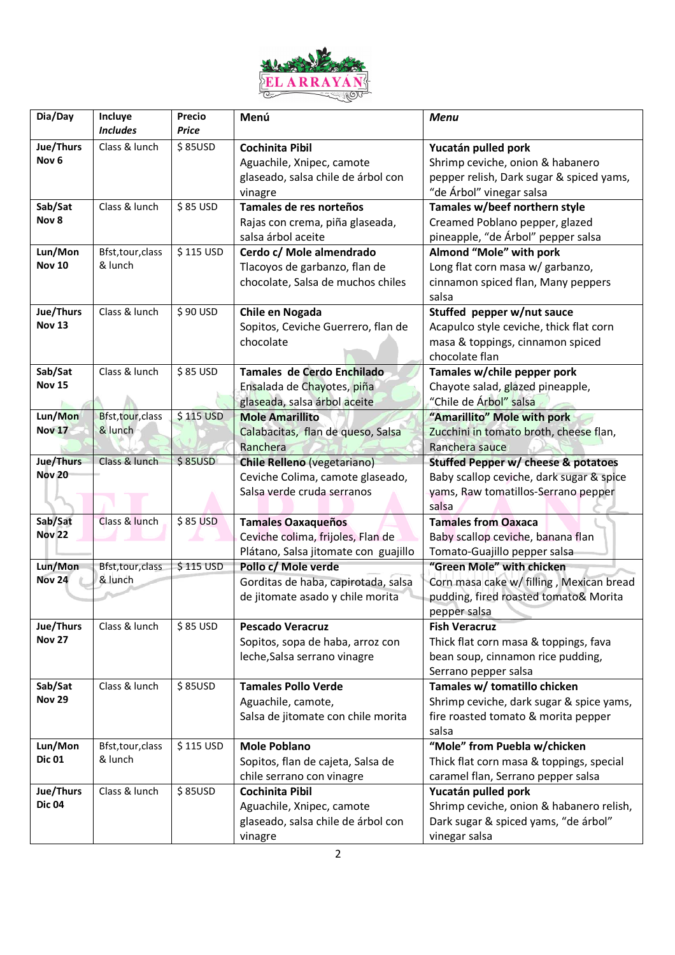

| Dia/Day                    | Incluye                      | Precio    | Menú                                 | <b>Menu</b>                              |
|----------------------------|------------------------------|-----------|--------------------------------------|------------------------------------------|
|                            | <b>Includes</b>              | Price     |                                      |                                          |
| Jue/Thurs                  | Class & lunch                | \$85USD   | <b>Cochinita Pibil</b>               | Yucatán pulled pork                      |
| Nov <sub>6</sub>           |                              |           | Aguachile, Xnipec, camote            | Shrimp ceviche, onion & habanero         |
|                            |                              |           | glaseado, salsa chile de árbol con   | pepper relish, Dark sugar & spiced yams, |
|                            |                              |           | vinagre                              | "de Árbol" vinegar salsa                 |
| Sab/Sat                    | Class & lunch                | \$85 USD  | Tamales de res norteños              | Tamales w/beef northern style            |
| Nov 8                      |                              |           | Rajas con crema, piña glaseada,      | Creamed Poblano pepper, glazed           |
|                            |                              |           | salsa árbol aceite                   | pineapple, "de Árbol" pepper salsa       |
| Lun/Mon                    | Bfst, tour, class            | \$115 USD | Cerdo c/ Mole almendrado             | Almond "Mole" with pork                  |
| <b>Nov 10</b>              | & lunch                      |           | Tlacoyos de garbanzo, flan de        | Long flat corn masa w/ garbanzo,         |
|                            |                              |           | chocolate, Salsa de muchos chiles    | cinnamon spiced flan, Many peppers       |
|                            |                              |           |                                      | salsa                                    |
| Jue/Thurs                  | Class & lunch                | \$90 USD  | Chile en Nogada                      | Stuffed pepper w/nut sauce               |
| <b>Nov 13</b>              |                              |           | Sopitos, Ceviche Guerrero, flan de   | Acapulco style ceviche, thick flat corn  |
|                            |                              |           | chocolate                            | masa & toppings, cinnamon spiced         |
|                            |                              |           |                                      | chocolate flan                           |
| Sab/Sat                    | Class & lunch                | \$85 USD  | Tamales de Cerdo Enchilado           | Tamales w/chile pepper pork              |
| <b>Nov 15</b>              |                              |           | Ensalada de Chayotes, piña           | Chayote salad, glazed pineapple,         |
|                            |                              |           | glaseada, salsa árbol aceite         | "Chile de Árbol" salsa                   |
| Lun/Mon                    | Bfst, tour, class            | \$115 USD | <b>Mole Amarillito</b>               | "Amarillito" Mole with pork              |
| <b>Nov 17</b>              | & lunch                      |           | Calabacitas, flan de queso, Salsa    | Zucchini in tomato broth, cheese flan,   |
|                            |                              |           | Ranchera                             | Ranchera sauce                           |
| Jue/Thurs                  | Class & lunch                | \$85USD   | <b>Chile Relleno (vegetariano)</b>   | Stuffed Pepper w/ cheese & potatoes      |
| <b>Nov 20</b>              |                              |           | Ceviche Colima, camote glaseado,     | Baby scallop ceviche, dark sugar & spice |
|                            |                              |           | Salsa verde cruda serranos           | yams, Raw tomatillos-Serrano pepper      |
|                            |                              |           |                                      | salsa                                    |
| Sab/Sat                    | Class & lunch                | $$85$ USD | <b>Tamales Oaxaqueños</b>            | <b>Tamales from Oaxaca</b>               |
| <b>Nov 22</b>              |                              |           | Ceviche colima, frijoles, Flan de    | Baby scallop ceviche, banana flan        |
|                            |                              |           | Plátano, Salsa jitomate con guajillo | Tomato-Guajillo pepper salsa             |
| Lun/Mon                    | Bfst, tour, class            | \$115 USD | Pollo c/ Mole verde                  | "Green Mole" with chicken                |
| <b>Nov 24</b>              | & lunch                      |           | Gorditas de haba, capirotada, salsa  | Corn masa cake w/ filling, Mexican bread |
|                            |                              |           | de jitomate asado y chile morita     | pudding, fired roasted tomato& Morita    |
|                            |                              |           |                                      | pepper salsa                             |
| Jue/Thurs                  | Class & lunch                | $$85$ USD | <b>Pescado Veracruz</b>              | <b>Fish Veracruz</b>                     |
| <b>Nov 27</b>              |                              |           | Sopitos, sopa de haba, arroz con     | Thick flat corn masa & toppings, fava    |
|                            |                              |           | leche, Salsa serrano vinagre         | bean soup, cinnamon rice pudding,        |
|                            |                              |           |                                      | Serrano pepper salsa                     |
| Sab/Sat                    | Class & lunch                | \$85USD   | <b>Tamales Pollo Verde</b>           | Tamales w/ tomatillo chicken             |
| <b>Nov 29</b>              |                              |           | Aguachile, camote,                   | Shrimp ceviche, dark sugar & spice yams, |
|                            |                              |           | Salsa de jitomate con chile morita   | fire roasted tomato & morita pepper      |
|                            |                              |           |                                      | salsa                                    |
| Lun/Mon<br><b>Dic 01</b>   | Bfst, tour, class<br>& lunch | \$115 USD | <b>Mole Poblano</b>                  | "Mole" from Puebla w/chicken             |
|                            |                              |           | Sopitos, flan de cajeta, Salsa de    | Thick flat corn masa & toppings, special |
|                            |                              |           | chile serrano con vinagre            | caramel flan, Serrano pepper salsa       |
| Jue/Thurs<br><b>Dic 04</b> | Class & lunch                | \$85USD   | <b>Cochinita Pibil</b>               | Yucatán pulled pork                      |
|                            |                              |           | Aguachile, Xnipec, camote            | Shrimp ceviche, onion & habanero relish, |
|                            |                              |           | glaseado, salsa chile de árbol con   | Dark sugar & spiced yams, "de árbol"     |
|                            |                              |           | vinagre                              | vinegar salsa                            |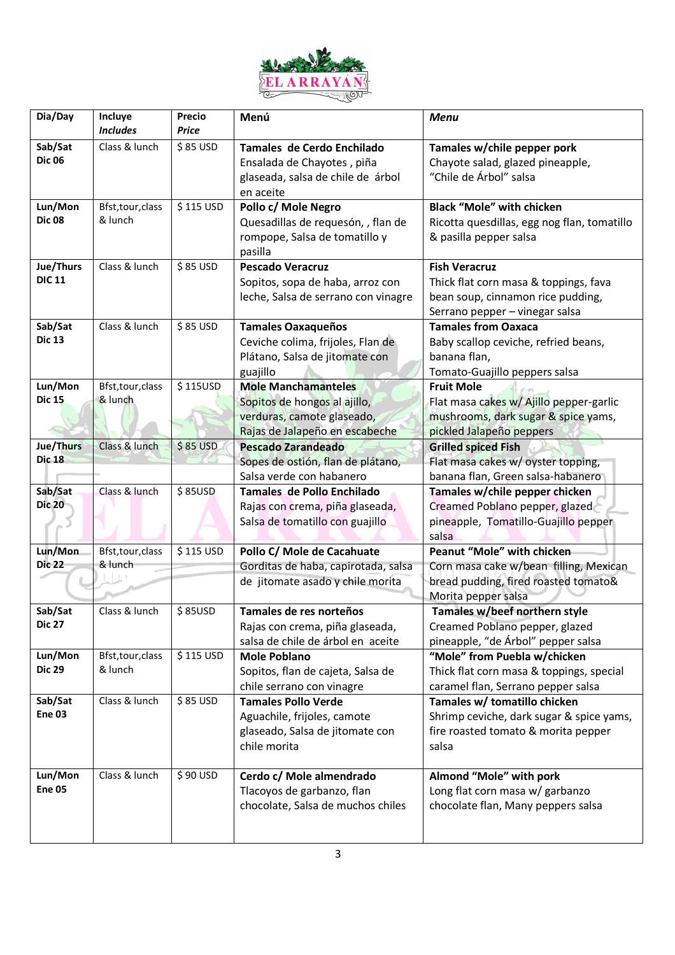

| Dia/Day                    | Incluye<br><b>Includes</b>   | <b>Precio</b><br>Price | Menú                                                               | <b>Menu</b>                                                              |
|----------------------------|------------------------------|------------------------|--------------------------------------------------------------------|--------------------------------------------------------------------------|
| Sab/Sat                    | Class & lunch                | \$85 USD               | Tamales de Cerdo Enchilado                                         |                                                                          |
| <b>Dic 06</b>              |                              |                        | Ensalada de Chayotes, piña                                         | Tamales w/chile pepper pork<br>Chayote salad, glazed pineapple,          |
|                            |                              |                        | glaseada, salsa de chile de árbol                                  | "Chile de Árbol" salsa                                                   |
|                            |                              |                        | en aceite                                                          |                                                                          |
| Lun/Mon                    | Bfst, tour, class            | \$115 USD              | Pollo c/ Mole Negro                                                | <b>Black "Mole" with chicken</b>                                         |
| <b>Dic 08</b>              | & lunch                      |                        | Quesadillas de requesón, , flan de                                 | Ricotta quesdillas, egg nog flan, tomatillo                              |
|                            |                              |                        | rompope, Salsa de tomatillo y                                      | & pasilla pepper salsa                                                   |
|                            |                              |                        | pasilla                                                            |                                                                          |
| Jue/Thurs<br><b>DIC 11</b> | Class & lunch                | \$85 USD               | <b>Pescado Veracruz</b>                                            | <b>Fish Veracruz</b>                                                     |
|                            |                              |                        | Sopitos, sopa de haba, arroz con                                   | Thick flat corn masa & toppings, fava                                    |
|                            |                              |                        | leche, Salsa de serrano con vinagre                                | bean soup, cinnamon rice pudding,                                        |
| Sab/Sat                    | Class & lunch                | \$85 USD               | <b>Tamales Oaxaqueños</b>                                          | Serrano pepper - vinegar salsa<br><b>Tamales from Oaxaca</b>             |
| <b>Dic 13</b>              |                              |                        | Ceviche colima, frijoles, Flan de                                  | Baby scallop ceviche, refried beans,                                     |
|                            |                              |                        | Plátano, Salsa de jitomate con                                     | banana flan,                                                             |
|                            |                              |                        | guajillo                                                           | Tomato-Guajillo peppers salsa                                            |
| Lun/Mon                    | Bfst, tour, class            | \$115USD               | <b>Mole Manchamanteles</b>                                         | <b>Fruit Mole</b>                                                        |
| <b>Dic 15</b>              | & lunch                      |                        | Sopitos de hongos al ajillo,                                       | Flat masa cakes w/ Ajillo pepper-garlic                                  |
|                            |                              |                        | verduras, camote glaseado,                                         | mushrooms, dark sugar & spice yams,                                      |
|                            |                              |                        | Rajas de Jalapeño en escabeche                                     | pickled Jalapeño peppers                                                 |
| Jue/Thurs                  | Class & lunch                | $$85$ USD              | <b>Pescado Zarandeado</b>                                          | <b>Grilled spiced Fish</b>                                               |
| <b>Dic 18</b>              |                              |                        | Sopes de ostión, flan de plátano,                                  | Flat masa cakes w/ oyster topping,                                       |
|                            |                              |                        | Salsa verde con habanero                                           | banana flan, Green salsa-habanero                                        |
| Sab/Sat<br><b>Dic 20</b>   | Class & lunch                | \$85USD                | Tamales de Pollo Enchilado                                         | Tamales w/chile pepper chicken                                           |
|                            |                              |                        | Rajas con crema, piña glaseada,<br>Salsa de tomatillo con guajillo | Creamed Poblano pepper, glazed<br>pineapple, Tomatillo-Guajillo pepper   |
|                            |                              |                        |                                                                    | salsa                                                                    |
| Lun/Mon                    | Bfst, tour, class            | \$115 USD              | Pollo C/ Mole de Cacahuate                                         | Peanut "Mole" with chicken                                               |
| <b>Dic 22</b>              | & lunch                      |                        | Gorditas de haba, capirotada, salsa                                | Corn masa cake w/bean filling, Mexican                                   |
|                            |                              |                        | de jitomate asado y chile morita                                   | bread pudding, fired roasted tomato&                                     |
|                            |                              |                        |                                                                    | Morita pepper salsa                                                      |
| Sab/Sat                    | Class & lunch                | \$85USD                | Tamales de res norteños                                            | Tamales w/beef northern style                                            |
| <b>Dic 27</b>              |                              |                        | Rajas con crema, piña glaseada,                                    | Creamed Poblano pepper, glazed                                           |
|                            |                              |                        | salsa de chile de árbol en aceite                                  | pineapple, "de Árbol" pepper salsa                                       |
| Lun/Mon<br><b>Dic 29</b>   | Bfst, tour, class<br>& lunch | \$115 USD              | <b>Mole Poblano</b><br>Sopitos, flan de cajeta, Salsa de           | "Mole" from Puebla w/chicken<br>Thick flat corn masa & toppings, special |
|                            |                              |                        | chile serrano con vinagre                                          | caramel flan, Serrano pepper salsa                                       |
| Sab/Sat                    | Class & lunch                | \$85 USD               | <b>Tamales Pollo Verde</b>                                         | Tamales w/ tomatillo chicken                                             |
| Ene 03                     |                              |                        | Aguachile, frijoles, camote                                        | Shrimp ceviche, dark sugar & spice yams,                                 |
|                            |                              |                        | glaseado, Salsa de jitomate con                                    | fire roasted tomato & morita pepper                                      |
|                            |                              |                        | chile morita                                                       | salsa                                                                    |
|                            |                              |                        |                                                                    |                                                                          |
| Lun/Mon<br><b>Ene 05</b>   | Class & lunch                | \$90 USD               | Cerdo c/ Mole almendrado                                           | Almond "Mole" with pork                                                  |
|                            |                              |                        | Tlacoyos de garbanzo, flan<br>chocolate, Salsa de muchos chiles    | Long flat corn masa w/ garbanzo<br>chocolate flan, Many peppers salsa    |
|                            |                              |                        |                                                                    |                                                                          |
|                            |                              |                        |                                                                    |                                                                          |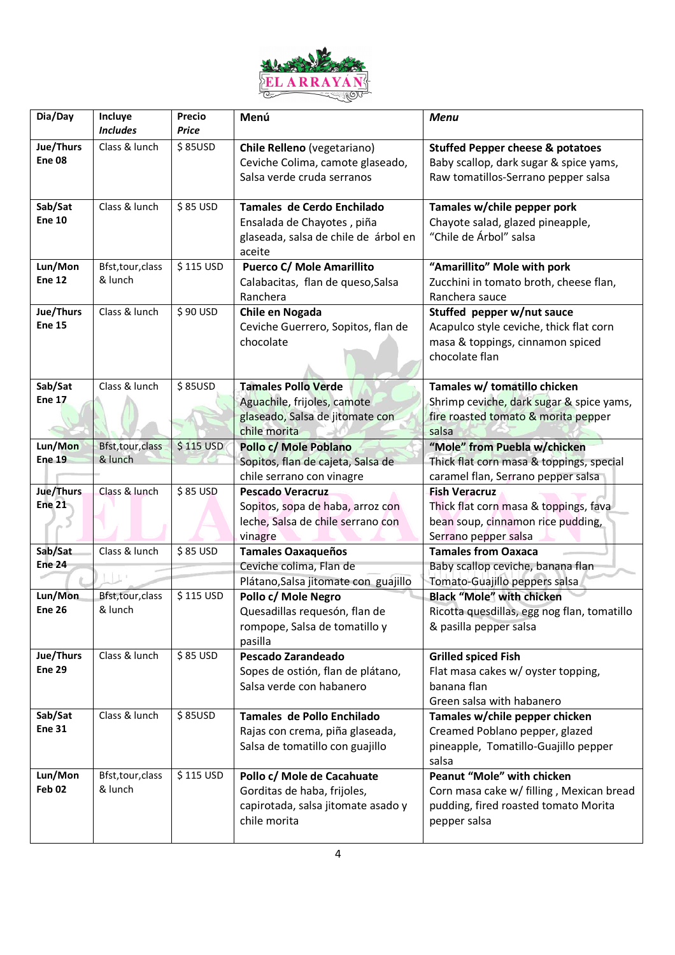

| Dia/Day                  | Incluye           | Precio    | Menú                                                              | <b>Menu</b>                                                                           |
|--------------------------|-------------------|-----------|-------------------------------------------------------------------|---------------------------------------------------------------------------------------|
|                          | <b>Includes</b>   | Price     |                                                                   |                                                                                       |
| Jue/Thurs<br>Ene 08      | Class & lunch     | \$85USD   | Chile Relleno (vegetariano)<br>Ceviche Colima, camote glaseado,   | <b>Stuffed Pepper cheese &amp; potatoes</b><br>Baby scallop, dark sugar & spice yams, |
|                          |                   |           | Salsa verde cruda serranos                                        | Raw tomatillos-Serrano pepper salsa                                                   |
|                          |                   |           |                                                                   |                                                                                       |
| Sab/Sat                  | Class & lunch     | \$85 USD  | Tamales de Cerdo Enchilado                                        | Tamales w/chile pepper pork                                                           |
| <b>Ene 10</b>            |                   |           | Ensalada de Chayotes, piña                                        | Chayote salad, glazed pineapple,                                                      |
|                          |                   |           | glaseada, salsa de chile de árbol en                              | "Chile de Árbol" salsa                                                                |
|                          |                   |           | aceite                                                            |                                                                                       |
| Lun/Mon                  | Bfst, tour, class | \$115 USD | <b>Puerco C/ Mole Amarillito</b>                                  | "Amarillito" Mole with pork                                                           |
| <b>Ene 12</b>            | & lunch           |           | Calabacitas, flan de queso, Salsa                                 | Zucchini in tomato broth, cheese flan,                                                |
|                          |                   |           | Ranchera                                                          | Ranchera sauce                                                                        |
| Jue/Thurs                | Class & lunch     | \$90 USD  | Chile en Nogada                                                   | Stuffed pepper w/nut sauce                                                            |
| <b>Ene 15</b>            |                   |           | Ceviche Guerrero, Sopitos, flan de                                | Acapulco style ceviche, thick flat corn                                               |
|                          |                   |           | chocolate                                                         | masa & toppings, cinnamon spiced                                                      |
|                          |                   |           |                                                                   | chocolate flan                                                                        |
| Sab/Sat                  | Class & lunch     | \$85USD   | <b>Tamales Pollo Verde</b>                                        | Tamales w/ tomatillo chicken                                                          |
| <b>Ene 17</b>            |                   |           | Aguachile, frijoles, camote                                       | Shrimp ceviche, dark sugar & spice yams,                                              |
|                          |                   |           | glaseado, Salsa de jitomate con                                   | fire roasted tomato & morita pepper                                                   |
|                          |                   |           | chile morita                                                      | salsa                                                                                 |
| Lun/Mon                  | Bfst, tour, class | \$115 USD | Pollo c/ Mole Poblano                                             | "Mole" from Puebla w/chicken                                                          |
| <b>Ene 19</b>            | & lunch           |           | Sopitos, flan de cajeta, Salsa de                                 | Thick flat corn masa & toppings, special                                              |
|                          |                   |           | chile serrano con vinagre                                         | caramel flan, Serrano pepper salsa                                                    |
| Jue/Thurs                | Class & lunch     | $$85$ USD | <b>Pescado Veracruz</b>                                           | <b>Fish Veracruz</b>                                                                  |
| <b>Ene 21</b>            |                   |           | Sopitos, sopa de haba, arroz con                                  | Thick flat corn masa & toppings, fava                                                 |
|                          |                   |           | leche, Salsa de chile serrano con                                 | bean soup, cinnamon rice pudding,                                                     |
|                          |                   |           | vinagre                                                           | Serrano pepper salsa                                                                  |
| Sab/Sat<br><b>Ene 24</b> | Class & lunch     | \$85 USD  | <b>Tamales Oaxaqueños</b>                                         | <b>Tamales from Oaxaca</b>                                                            |
|                          |                   |           | Ceviche colima, Flan de<br>Plátano, Salsa jitomate con guajillo   | Baby scallop ceviche, banana flan<br>Tomato-Guajillo peppers salsa                    |
| Lun/Mon                  | Bfst, tour, class | \$115 USD | Pollo c/ Mole Negro                                               | <b>Black "Mole" with chicken</b>                                                      |
| <b>Ene 26</b>            | & lunch           |           | Quesadillas requesón, flan de                                     | Ricotta quesdillas, egg nog flan, tomatillo                                           |
|                          |                   |           | rompope, Salsa de tomatillo y                                     | & pasilla pepper salsa                                                                |
|                          |                   |           | pasilla                                                           |                                                                                       |
| Jue/Thurs                | Class & lunch     | \$85 USD  | Pescado Zarandeado                                                | <b>Grilled spiced Fish</b>                                                            |
| <b>Ene 29</b>            |                   |           | Sopes de ostión, flan de plátano,                                 | Flat masa cakes w/ oyster topping,                                                    |
|                          |                   |           | Salsa verde con habanero                                          | banana flan                                                                           |
|                          |                   |           |                                                                   | Green salsa with habanero                                                             |
| Sab/Sat                  | Class & lunch     | \$85USD   | Tamales de Pollo Enchilado                                        | Tamales w/chile pepper chicken                                                        |
| <b>Ene 31</b>            |                   |           | Rajas con crema, piña glaseada,                                   | Creamed Poblano pepper, glazed                                                        |
|                          |                   |           | Salsa de tomatillo con guajillo                                   | pineapple, Tomatillo-Guajillo pepper                                                  |
| Lun/Mon                  | Bfst, tour, class | \$115 USD |                                                                   | salsa<br>Peanut "Mole" with chicken                                                   |
| Feb 02                   | & lunch           |           | Pollo c/ Mole de Cacahuate                                        |                                                                                       |
|                          |                   |           | Gorditas de haba, frijoles,<br>capirotada, salsa jitomate asado y | Corn masa cake w/ filling, Mexican bread<br>pudding, fired roasted tomato Morita      |
|                          |                   |           | chile morita                                                      | pepper salsa                                                                          |
|                          |                   |           |                                                                   |                                                                                       |